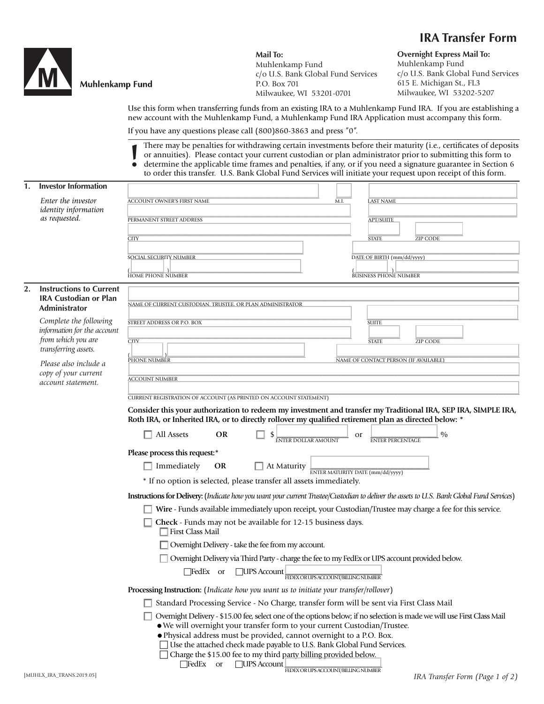## **IRA Transfer Form**



## **Muhlenkamp Fund**

**Mail To:** Muhlenkamp Fund c/o U.S. Bank Global Fund Services P.O. Box 701 Milwaukee, WI 53201-0701

**Overnight Express Mail To:** Muhlenkamp Fund c/o U.S. Bank Global Fund Services 615 E. Michigan St., FL3 Milwaukee, WI 53202-5207

Use this form when transferring funds from an existing IRA to a Muhlenkamp Fund IRA. If you are establishing a new account with the Muhlenkamp Fund, a Muhlenkamp Fund IRA Application must accompany this form.

If you have any questions please call (800)860-3863 and press "0".

There may be penalties for withdrawing certain investments before their maturity (i.e., certificates of deposits or annuities). Please contact your current custodian or plan administrator prior to submitting this form to determine the applicable time frames and penalties, if any, or if you need a signature guarantee in Section 6 to order this transfer. U.S. Bank Global Fund Services will initiate your request upon receipt of this form. **!**

| 1. | <b>Investor Information</b>                                                                         |                                                                                                                                                                                                                                                                              |  |  |  |
|----|-----------------------------------------------------------------------------------------------------|------------------------------------------------------------------------------------------------------------------------------------------------------------------------------------------------------------------------------------------------------------------------------|--|--|--|
|    | Enter the investor<br><i>identity</i> information<br>as requested.                                  | <b>ACCOUNT OWNER'S FIRST NAME</b><br><b>LAST NAME</b><br>M.I                                                                                                                                                                                                                 |  |  |  |
|    |                                                                                                     | PERMANENT STREET ADDRESS<br><b>APT/SUITE</b>                                                                                                                                                                                                                                 |  |  |  |
|    |                                                                                                     | <b>STATE</b><br><b>ZIP CODE</b><br><b>CITY</b>                                                                                                                                                                                                                               |  |  |  |
|    |                                                                                                     | DATE OF BIRTH (mm/dd/yyyy)<br>SOCIAL SECURITY NUMBER                                                                                                                                                                                                                         |  |  |  |
|    |                                                                                                     | <b>BUSINESS PHONE NUMBER</b><br><b>HOME PHONE NUMBER</b>                                                                                                                                                                                                                     |  |  |  |
| 2. | <b>Instructions to Current</b><br><b>IRA Custodian or Plan</b><br>Administrator                     | NAME OF CURRENT CUSTODIAN. TRUSTEE. OR PLAN ADMINISTRATOR                                                                                                                                                                                                                    |  |  |  |
|    | Complete the following<br>information for the account<br>from which you are<br>transferring assets. | STREET ADDRESS OR P.O. BOX<br><b>SUITE</b>                                                                                                                                                                                                                                   |  |  |  |
|    |                                                                                                     | $\overline{\text{CTIV}}$<br><b>STATE</b><br><b>ZIP CODE</b>                                                                                                                                                                                                                  |  |  |  |
|    |                                                                                                     |                                                                                                                                                                                                                                                                              |  |  |  |
|    | Please also include a<br>copy of your current<br>account statement.                                 | PHONE NUMBER<br>NAME OF CONTACT PERSON (IF AVAILABLE)                                                                                                                                                                                                                        |  |  |  |
|    |                                                                                                     | <b>ACCOUNT NUMBER</b>                                                                                                                                                                                                                                                        |  |  |  |
|    |                                                                                                     | CURRENT REGISTRATION OF ACCOUNT (AS PRINTED ON ACCOUNT STATEMENT)                                                                                                                                                                                                            |  |  |  |
|    |                                                                                                     | Consider this your authorization to redeem my investment and transfer my Traditional IRA, SEP IRA, SIMPLE IRA,<br>Roth IRA, or Inherited IRA, or to directly rollover my qualified retirement plan as directed below: *                                                      |  |  |  |
|    |                                                                                                     | $\frac{0}{0}$<br>$\Box$ All Assets<br><b>OR</b><br>or<br><b>ENTER DOLLAR AMOUNT</b><br><b>ENTER PERCENTAGE</b>                                                                                                                                                               |  |  |  |
|    |                                                                                                     | Please process this request:*                                                                                                                                                                                                                                                |  |  |  |
|    |                                                                                                     | $\Box$ Immediately<br><b>OR</b><br>$\Box$ At Maturity<br>ENTER MATURITY DATE (mm/dd/vvvv)                                                                                                                                                                                    |  |  |  |
|    |                                                                                                     | * If no option is selected, please transfer all assets immediately.                                                                                                                                                                                                          |  |  |  |
|    |                                                                                                     | Instructions for Delivery: (Indicate how you want your current Trustee/Custodian to deliver the assets to U.S. Bank Global Fund Services)                                                                                                                                    |  |  |  |
|    |                                                                                                     | Wire - Funds available immediately upon receipt, your Custodian/Trustee may charge a fee for this service.                                                                                                                                                                   |  |  |  |
|    |                                                                                                     | Check - Funds may not be available for 12-15 business days.<br>□ First Class Mail                                                                                                                                                                                            |  |  |  |
|    |                                                                                                     | Overnight Delivery - take the fee from my account.                                                                                                                                                                                                                           |  |  |  |
|    |                                                                                                     | □ Overnight Delivery via Third Party - charge the fee to my FedEx or UPS account provided below.                                                                                                                                                                             |  |  |  |
|    |                                                                                                     | $\Box$ FedEx or<br>$\Box$ UPS Account<br>FEDEX OR UPS ACCOUNT/BILLING NUMBER                                                                                                                                                                                                 |  |  |  |
|    |                                                                                                     | Processing Instruction: (Indicate how you want us to initiate your transfer/rollover)                                                                                                                                                                                        |  |  |  |
|    |                                                                                                     | Standard Processing Service - No Charge, transfer form will be sent via First Class Mail                                                                                                                                                                                     |  |  |  |
|    |                                                                                                     | Overnight Delivery - \$15.00 fee, select one of the options below; if no selection is made we will use First Class Mail<br>• We will overnight your transfer form to your current Custodian/Trustee.<br>· Physical address must be provided, cannot overnight to a P.O. Box. |  |  |  |

*IRA Transfer Form (Page 1 of 2)*